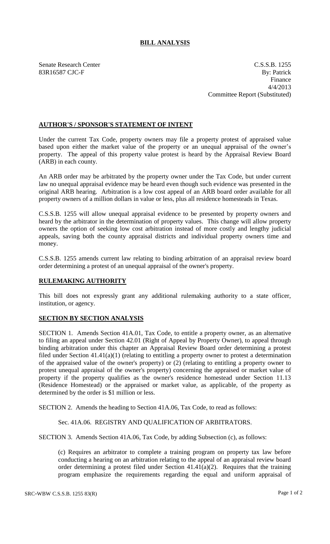## **BILL ANALYSIS**

Senate Research Center C.S.S.B. 1255 83R16587 CJC-F By: Patrick Finance 4/4/2013 Committee Report (Substituted)

## **AUTHOR'S / SPONSOR'S STATEMENT OF INTENT**

Under the current Tax Code, property owners may file a property protest of appraised value based upon either the market value of the property or an unequal appraisal of the owner's property. The appeal of this property value protest is heard by the Appraisal Review Board (ARB) in each county.

An ARB order may be arbitrated by the property owner under the Tax Code, but under current law no unequal appraisal evidence may be heard even though such evidence was presented in the original ARB hearing. Arbitration is a low cost appeal of an ARB board order available for all property owners of a million dollars in value or less, plus all residence homesteads in Texas.

C.S.S.B. 1255 will allow unequal appraisal evidence to be presented by property owners and heard by the arbitrator in the determination of property values. This change will allow property owners the option of seeking low cost arbitration instead of more costly and lengthy judicial appeals, saving both the county appraisal districts and individual property owners time and money.

C.S.S.B. 1255 amends current law relating to binding arbitration of an appraisal review board order determining a protest of an unequal appraisal of the owner's property.

## **RULEMAKING AUTHORITY**

This bill does not expressly grant any additional rulemaking authority to a state officer, institution, or agency.

## **SECTION BY SECTION ANALYSIS**

SECTION 1. Amends Section 41A.01, Tax Code, to entitle a property owner, as an alternative to filing an appeal under Section 42.01 (Right of Appeal by Property Owner), to appeal through binding arbitration under this chapter an Appraisal Review Board order determining a protest filed under Section 41.41(a)(1) (relating to entitling a property owner to protest a determination of the appraised value of the owner's property) or (2) (relating to entitling a property owner to protest unequal appraisal of the owner's property) concerning the appraised or market value of property if the property qualifies as the owner's residence homestead under Section 11.13 (Residence Homestead) or the appraised or market value, as applicable, of the property as determined by the order is \$1 million or less.

SECTION 2. Amends the heading to Section 41A.06, Tax Code, to read as follows:

Sec. 41A.06. REGISTRY AND QUALIFICATION OF ARBITRATORS.

SECTION 3. Amends Section 41A.06, Tax Code, by adding Subsection (c), as follows:

(c) Requires an arbitrator to complete a training program on property tax law before conducting a hearing on an arbitration relating to the appeal of an appraisal review board order determining a protest filed under Section  $41.41(a)(2)$ . Requires that the training program emphasize the requirements regarding the equal and uniform appraisal of